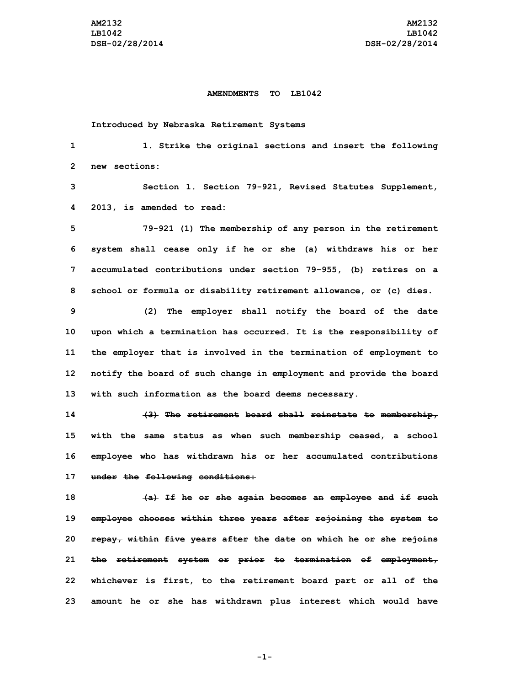## **AMENDMENTS TO LB1042**

**Introduced by Nebraska Retirement Systems**

| 1    | 1. Strike the original sections and insert the following                                 |
|------|------------------------------------------------------------------------------------------|
| 2    | new sections:                                                                            |
| 3    | Section 1. Section 79-921, Revised Statutes Supplement,                                  |
| 4    | 2013, is amended to read:                                                                |
| 5    | 79-921 (1) The membership of any person in the retirement                                |
| 6    | system shall cease only if he or she (a) withdraws his or her                            |
| 7    | accumulated contributions under section 79-955, (b) retires on a                         |
| 8    | school or formula or disability retirement allowance, or (c) dies.                       |
| 9    | (2)<br>The employer shall notify the board of the date                                   |
| 10   | upon which a termination has occurred. It is the responsibility of                       |
| 11   | the employer that is involved in the termination of employment to                        |
| 12   | notify the board of such change in employment and provide the board                      |
| 13   | with such information as the board deems necessary.                                      |
| 14   | (3) The retirement board shall reinstate to membership,                                  |
| 15   | with the same status as when such membership ceased, a school                            |
| 16   | employee who has withdrawn his or her accumulated contributions                          |
| 17   | under the following conditions:                                                          |
| 18   | (a) If he or she again becomes an employee and if such                                   |
| 19   | employee chooses within three years after rejoining the system to                        |
| 20 - | <del>repay, within five years after the date</del> <del>on which he or she rejoins</del> |
| 21   | the retirement system or prior to termination of employment,                             |
| 22   | whichever is first, to the retirement board part or all of the                           |
| 23   | amount he or she has withdrawn plus interest which would have                            |

**-1-**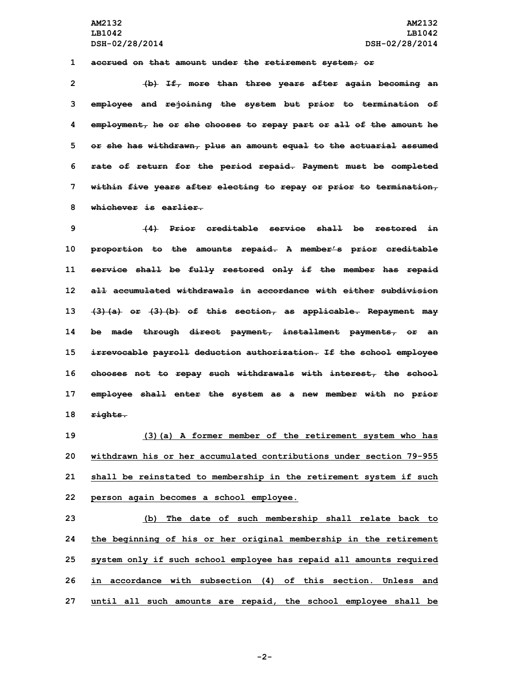**AM2132 AM2132 LB1042 LB1042 DSH-02/28/2014 DSH-02/28/2014**

**1 accrued on that amount under the retirement system; or**

 **(b) If, more than three years after again becoming an employee and rejoining the system but prior to termination of employment, he or she chooses to repay part or all of the amount he or she has withdrawn, plus an amount equal to the actuarial assumed rate of return for the period repaid. Payment must be completed within five years after electing to repay or prior to termination, whichever is earlier.**

 **(4) Prior creditable service shall be restored in proportion to the amounts repaid. <sup>A</sup> member's prior creditable service shall be fully restored only if the member has repaid all accumulated withdrawals in accordance with either subdivision (3)(a) or (3)(b) of this section, as applicable. Repayment may be made through direct payment, installment payments, or an irrevocable payroll deduction authorization. If the school employee chooses not to repay such withdrawals with interest, the school employee shall enter the system as <sup>a</sup> new member with no prior 18 rights.**

 **(3)(a) <sup>A</sup> former member of the retirement system who has withdrawn his or her accumulated contributions under section 79-955 shall be reinstated to membership in the retirement system if such person again becomes <sup>a</sup> school employee.**

 **(b) The date of such membership shall relate back to the beginning of his or her original membership in the retirement system only if such school employee has repaid all amounts required in accordance with subsection (4) of this section. Unless and until all such amounts are repaid, the school employee shall be**

**-2-**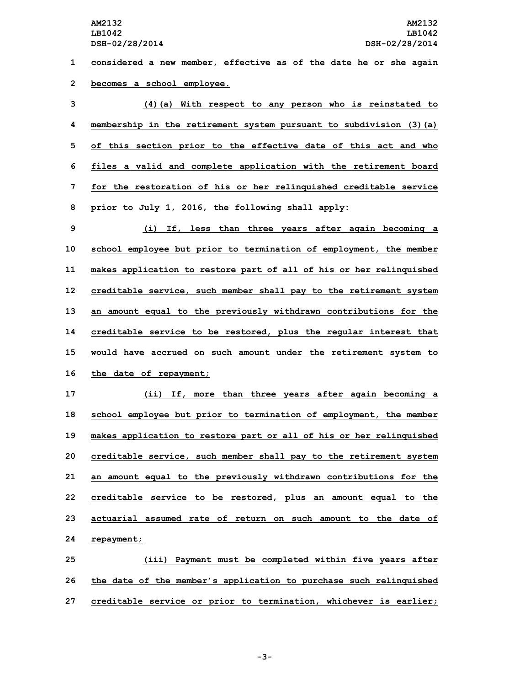**1 considered <sup>a</sup> new member, effective as of the date he or she again 2 becomes <sup>a</sup> school employee.**

 **(4)(a) With respect to any person who is reinstated to membership in the retirement system pursuant to subdivision (3)(a) of this section prior to the effective date of this act and who files <sup>a</sup> valid and complete application with the retirement board for the restoration of his or her relinquished creditable service prior to July 1, 2016, the following shall apply:**

 **(i) If, less than three years after again becoming <sup>a</sup> school employee but prior to termination of employment, the member makes application to restore part of all of his or her relinquished creditable service, such member shall pay to the retirement system an amount equal to the previously withdrawn contributions for the creditable service to be restored, plus the regular interest that would have accrued on such amount under the retirement system to the date of repayment;**

 **(ii) If, more than three years after again becoming <sup>a</sup> school employee but prior to termination of employment, the member makes application to restore part or all of his or her relinquished creditable service, such member shall pay to the retirement system an amount equal to the previously withdrawn contributions for the creditable service to be restored, plus an amount equal to the actuarial assumed rate of return on such amount to the date of repayment;**

**25 (iii) Payment must be completed within five years after 26 the date of the member's application to purchase such relinquished 27 creditable service or prior to termination, whichever is earlier;**

**-3-**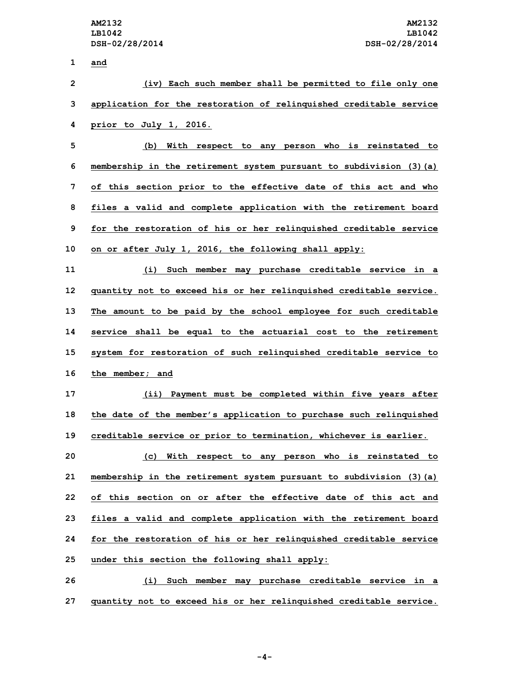**1 and (iv) Each such member shall be permitted to file only one application for the restoration of relinquished creditable service prior to July 1, 2016. (b) With respect to any person who is reinstated to membership in the retirement system pursuant to subdivision (3)(a) of this section prior to the effective date of this act and who files <sup>a</sup> valid and complete application with the retirement board for the restoration of his or her relinquished creditable service on or after July 1, 2016, the following shall apply: (i) Such member may purchase creditable service in <sup>a</sup> quantity not to exceed his or her relinquished creditable service. The amount to be paid by the school employee for such creditable service shall be equal to the actuarial cost to the retirement system for restoration of such relinquished creditable service to the member; and (ii) Payment must be completed within five years after the date of the member's application to purchase such relinquished creditable service or prior to termination, whichever is earlier. (c) With respect to any person who is reinstated to membership in the retirement system pursuant to subdivision (3)(a) of this section on or after the effective date of this act and files <sup>a</sup> valid and complete application with the retirement board for the restoration of his or her relinquished creditable service under this section the following shall apply: (i) Such member may purchase creditable service in <sup>a</sup> quantity not to exceed his or her relinquished creditable service.**

**-4-**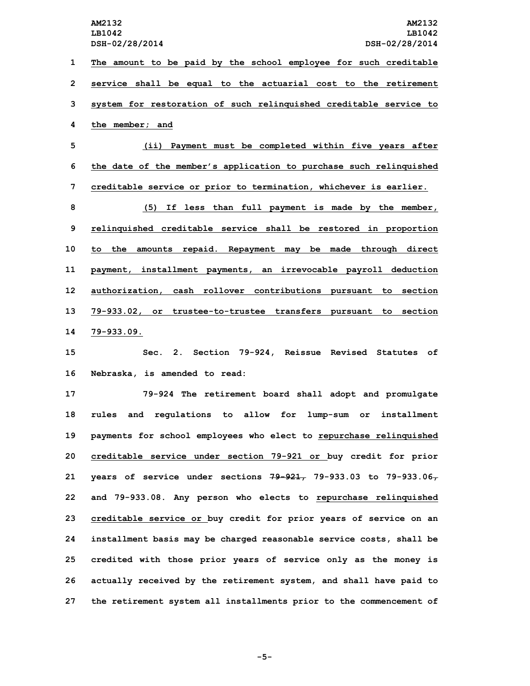**The amount to be paid by the school employee for such creditable service shall be equal to the actuarial cost to the retirement system for restoration of such relinquished creditable service to the member; and**

**5 (ii) Payment must be completed within five years after 6 the date of the member's application to purchase such relinquished 7 creditable service or prior to termination, whichever is earlier.**

 **(5) If less than full payment is made by the member, relinquished creditable service shall be restored in proportion to the amounts repaid. Repayment may be made through direct payment, installment payments, an irrevocable payroll deduction authorization, cash rollover contributions pursuant to section 79-933.02, or trustee-to-trustee transfers pursuant to section 79-933.09.**

**15 Sec. 2. Section 79-924, Reissue Revised Statutes of 16 Nebraska, is amended to read:**

 **79-924 The retirement board shall adopt and promulgate rules and regulations to allow for lump-sum or installment payments for school employees who elect to repurchase relinquished creditable service under section 79-921 or buy credit for prior years of service under sections 79-921, 79-933.03 to 79-933.06, and 79-933.08. Any person who elects to repurchase relinquished creditable service or buy credit for prior years of service on an installment basis may be charged reasonable service costs, shall be credited with those prior years of service only as the money is actually received by the retirement system, and shall have paid to the retirement system all installments prior to the commencement of**

**-5-**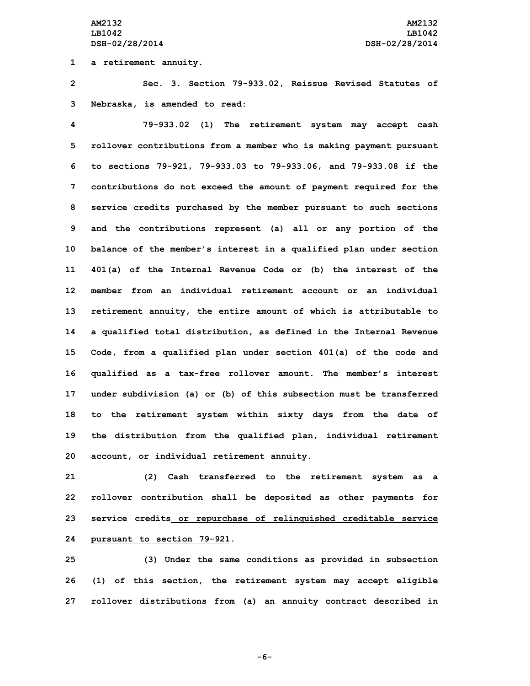**1 <sup>a</sup> retirement annuity.**

**2 Sec. 3. Section 79-933.02, Reissue Revised Statutes of 3 Nebraska, is amended to read:**

 **79-933.02 (1) The retirement system may accept cash rollover contributions from <sup>a</sup> member who is making payment pursuant to sections 79-921, 79-933.03 to 79-933.06, and 79-933.08 if the contributions do not exceed the amount of payment required for the service credits purchased by the member pursuant to such sections and the contributions represent (a) all or any portion of the balance of the member's interest in <sup>a</sup> qualified plan under section 401(a) of the Internal Revenue Code or (b) the interest of the member from an individual retirement account or an individual retirement annuity, the entire amount of which is attributable to <sup>a</sup> qualified total distribution, as defined in the Internal Revenue Code, from <sup>a</sup> qualified plan under section 401(a) of the code and qualified as <sup>a</sup> tax-free rollover amount. The member's interest under subdivision (a) or (b) of this subsection must be transferred to the retirement system within sixty days from the date of the distribution from the qualified plan, individual retirement account, or individual retirement annuity.**

 **(2) Cash transferred to the retirement system as <sup>a</sup> rollover contribution shall be deposited as other payments for service credits or repurchase of relinquished creditable service pursuant to section 79-921.**

**25 (3) Under the same conditions as provided in subsection 26 (1) of this section, the retirement system may accept eligible 27 rollover distributions from (a) an annuity contract described in**

**-6-**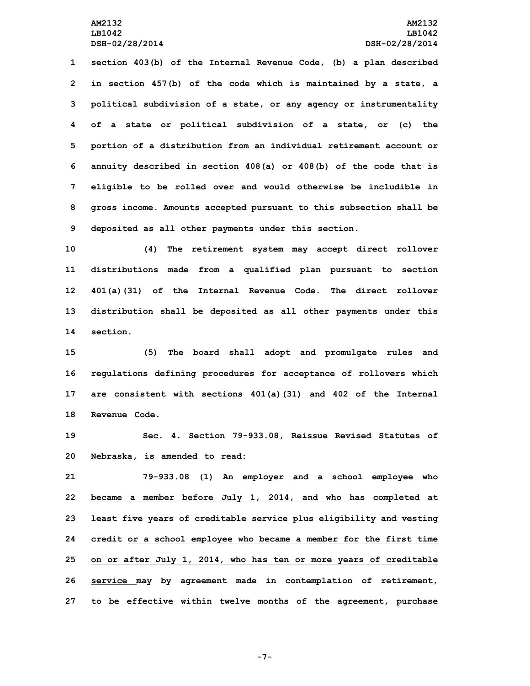**section 403(b) of the Internal Revenue Code, (b) <sup>a</sup> plan described in section 457(b) of the code which is maintained by <sup>a</sup> state, <sup>a</sup> political subdivision of <sup>a</sup> state, or any agency or instrumentality of <sup>a</sup> state or political subdivision of <sup>a</sup> state, or (c) the portion of <sup>a</sup> distribution from an individual retirement account or annuity described in section 408(a) or 408(b) of the code that is eligible to be rolled over and would otherwise be includible in gross income. Amounts accepted pursuant to this subsection shall be deposited as all other payments under this section.**

 **(4) The retirement system may accept direct rollover distributions made from <sup>a</sup> qualified plan pursuant to section 401(a)(31) of the Internal Revenue Code. The direct rollover distribution shall be deposited as all other payments under this 14 section.**

 **(5) The board shall adopt and promulgate rules and regulations defining procedures for acceptance of rollovers which are consistent with sections 401(a)(31) and 402 of the Internal Revenue Code.**

**19 Sec. 4. Section 79-933.08, Reissue Revised Statutes of 20 Nebraska, is amended to read:**

 **79-933.08 (1) An employer and <sup>a</sup> school employee who became <sup>a</sup> member before July 1, 2014, and who has completed at least five years of creditable service plus eligibility and vesting credit or <sup>a</sup> school employee who became <sup>a</sup> member for the first time on or after July 1, 2014, who has ten or more years of creditable service may by agreement made in contemplation of retirement, to be effective within twelve months of the agreement, purchase**

**-7-**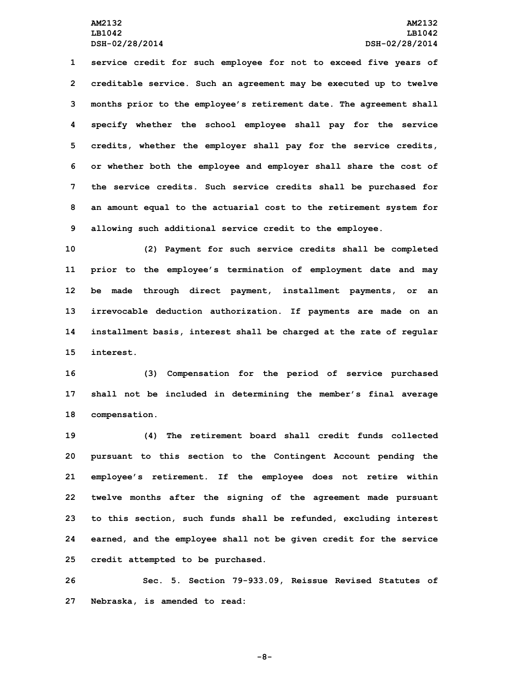**service credit for such employee for not to exceed five years of creditable service. Such an agreement may be executed up to twelve months prior to the employee's retirement date. The agreement shall specify whether the school employee shall pay for the service credits, whether the employer shall pay for the service credits, or whether both the employee and employer shall share the cost of the service credits. Such service credits shall be purchased for an amount equal to the actuarial cost to the retirement system for allowing such additional service credit to the employee.**

 **(2) Payment for such service credits shall be completed prior to the employee's termination of employment date and may be made through direct payment, installment payments, or an irrevocable deduction authorization. If payments are made on an installment basis, interest shall be charged at the rate of regular interest.**

**16 (3) Compensation for the period of service purchased 17 shall not be included in determining the member's final average 18 compensation.**

 **(4) The retirement board shall credit funds collected pursuant to this section to the Contingent Account pending the employee's retirement. If the employee does not retire within twelve months after the signing of the agreement made pursuant to this section, such funds shall be refunded, excluding interest earned, and the employee shall not be given credit for the service credit attempted to be purchased.**

**26 Sec. 5. Section 79-933.09, Reissue Revised Statutes of 27 Nebraska, is amended to read:**

**-8-**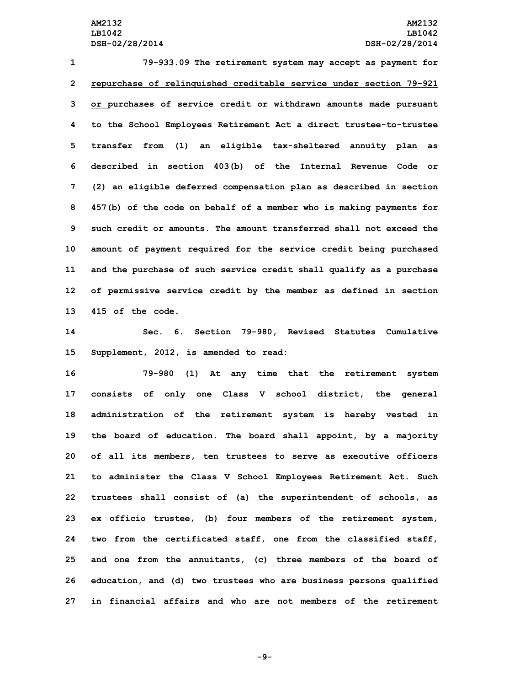**79-933.09 The retirement system may accept as payment for repurchase of relinquished creditable service under section 79-921 or purchases of service credit or withdrawn amounts made pursuant to the School Employees Retirement Act <sup>a</sup> direct trustee-to-trustee transfer from (1) an eligible tax-sheltered annuity plan as described in section 403(b) of the Internal Revenue Code or (2) an eligible deferred compensation plan as described in section 457(b) of the code on behalf of <sup>a</sup> member who is making payments for such credit or amounts. The amount transferred shall not exceed the amount of payment required for the service credit being purchased and the purchase of such service credit shall qualify as <sup>a</sup> purchase of permissive service credit by the member as defined in section 415 of the code.**

**14 Sec. 6. Section 79-980, Revised Statutes Cumulative 15 Supplement, 2012, is amended to read:**

 **79-980 (1) At any time that the retirement system consists of only one Class <sup>V</sup> school district, the general administration of the retirement system is hereby vested in the board of education. The board shall appoint, by <sup>a</sup> majority of all its members, ten trustees to serve as executive officers to administer the Class <sup>V</sup> School Employees Retirement Act. Such trustees shall consist of (a) the superintendent of schools, as ex officio trustee, (b) four members of the retirement system, two from the certificated staff, one from the classified staff, and one from the annuitants, (c) three members of the board of education, and (d) two trustees who are business persons qualified in financial affairs and who are not members of the retirement**

**-9-**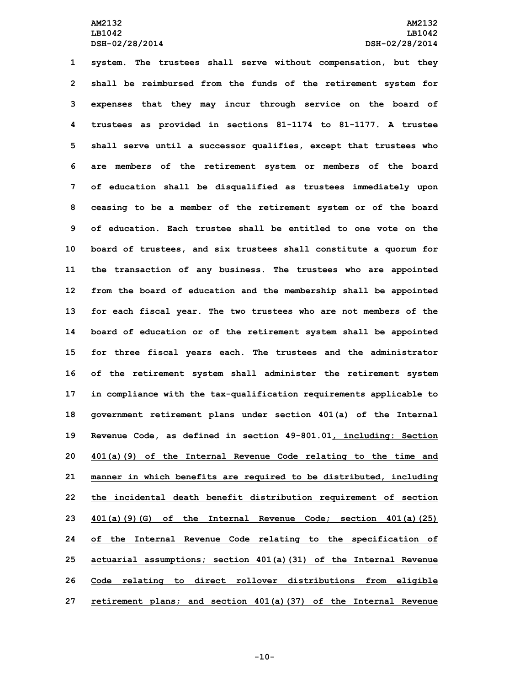**system. The trustees shall serve without compensation, but they shall be reimbursed from the funds of the retirement system for expenses that they may incur through service on the board of trustees as provided in sections 81-1174 to 81-1177. <sup>A</sup> trustee shall serve until <sup>a</sup> successor qualifies, except that trustees who are members of the retirement system or members of the board of education shall be disqualified as trustees immediately upon ceasing to be <sup>a</sup> member of the retirement system or of the board of education. Each trustee shall be entitled to one vote on the board of trustees, and six trustees shall constitute <sup>a</sup> quorum for the transaction of any business. The trustees who are appointed from the board of education and the membership shall be appointed for each fiscal year. The two trustees who are not members of the board of education or of the retirement system shall be appointed for three fiscal years each. The trustees and the administrator of the retirement system shall administer the retirement system in compliance with the tax-qualification requirements applicable to government retirement plans under section 401(a) of the Internal Revenue Code, as defined in section 49-801.01, including: Section 401(a)(9) of the Internal Revenue Code relating to the time and manner in which benefits are required to be distributed, including the incidental death benefit distribution requirement of section 401(a)(9)(G) of the Internal Revenue Code; section 401(a)(25) of the Internal Revenue Code relating to the specification of actuarial assumptions; section 401(a)(31) of the Internal Revenue Code relating to direct rollover distributions from eligible retirement plans; and section 401(a)(37) of the Internal Revenue**

**-10-**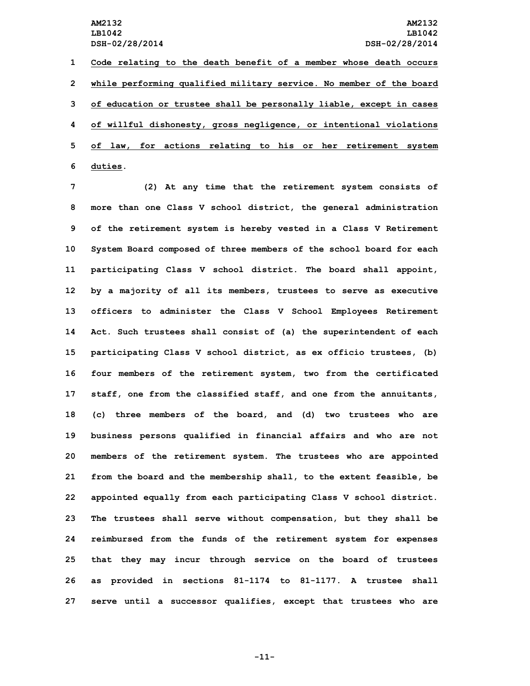**Code relating to the death benefit of <sup>a</sup> member whose death occurs while performing qualified military service. No member of the board of education or trustee shall be personally liable, except in cases of willful dishonesty, gross negligence, or intentional violations of law, for actions relating to his or her retirement system 6 duties.**

 **(2) At any time that the retirement system consists of more than one Class <sup>V</sup> school district, the general administration of the retirement system is hereby vested in <sup>a</sup> Class <sup>V</sup> Retirement System Board composed of three members of the school board for each participating Class <sup>V</sup> school district. The board shall appoint, by <sup>a</sup> majority of all its members, trustees to serve as executive officers to administer the Class <sup>V</sup> School Employees Retirement Act. Such trustees shall consist of (a) the superintendent of each participating Class <sup>V</sup> school district, as ex officio trustees, (b) four members of the retirement system, two from the certificated staff, one from the classified staff, and one from the annuitants, (c) three members of the board, and (d) two trustees who are business persons qualified in financial affairs and who are not members of the retirement system. The trustees who are appointed from the board and the membership shall, to the extent feasible, be appointed equally from each participating Class <sup>V</sup> school district. The trustees shall serve without compensation, but they shall be reimbursed from the funds of the retirement system for expenses that they may incur through service on the board of trustees as provided in sections 81-1174 to 81-1177. <sup>A</sup> trustee shall serve until <sup>a</sup> successor qualifies, except that trustees who are**

**-11-**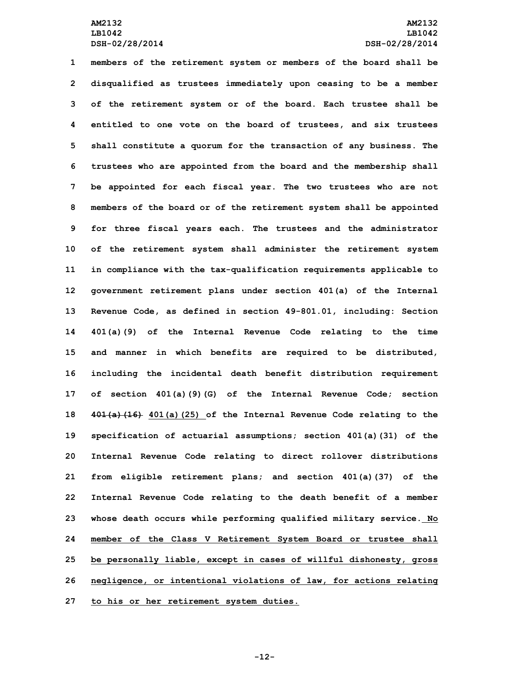**members of the retirement system or members of the board shall be disqualified as trustees immediately upon ceasing to be <sup>a</sup> member of the retirement system or of the board. Each trustee shall be entitled to one vote on the board of trustees, and six trustees shall constitute <sup>a</sup> quorum for the transaction of any business. The trustees who are appointed from the board and the membership shall be appointed for each fiscal year. The two trustees who are not members of the board or of the retirement system shall be appointed for three fiscal years each. The trustees and the administrator of the retirement system shall administer the retirement system in compliance with the tax-qualification requirements applicable to government retirement plans under section 401(a) of the Internal Revenue Code, as defined in section 49-801.01, including: Section 401(a)(9) of the Internal Revenue Code relating to the time and manner in which benefits are required to be distributed, including the incidental death benefit distribution requirement of section 401(a)(9)(G) of the Internal Revenue Code; section 401(a)(16) 401(a)(25) of the Internal Revenue Code relating to the specification of actuarial assumptions; section 401(a)(31) of the Internal Revenue Code relating to direct rollover distributions from eligible retirement plans; and section 401(a)(37) of the Internal Revenue Code relating to the death benefit of <sup>a</sup> member whose death occurs while performing qualified military service. No member of the Class <sup>V</sup> Retirement System Board or trustee shall be personally liable, except in cases of willful dishonesty, gross negligence, or intentional violations of law, for actions relating to his or her retirement system duties.**

**-12-**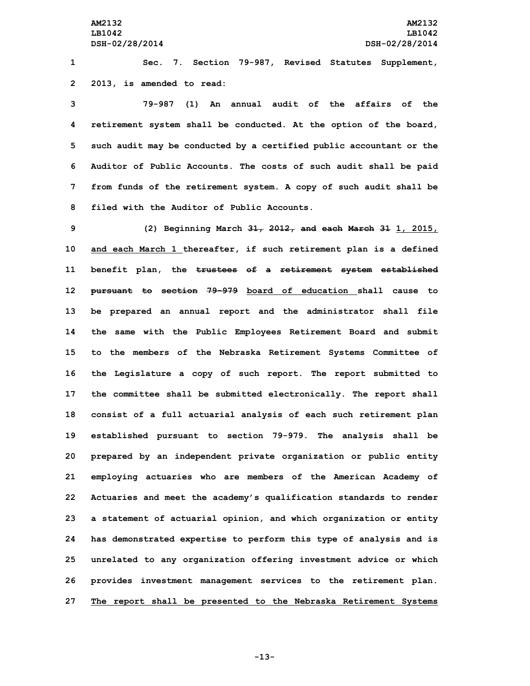**1 Sec. 7. Section 79-987, Revised Statutes Supplement, 2 2013, is amended to read:**

 **79-987 (1) An annual audit of the affairs of the retirement system shall be conducted. At the option of the board, such audit may be conducted by <sup>a</sup> certified public accountant or the Auditor of Public Accounts. The costs of such audit shall be paid from funds of the retirement system. A copy of such audit shall be filed with the Auditor of Public Accounts.**

 **(2) Beginning March 31, 2012, and each March 31 1, 2015, and each March 1 thereafter, if such retirement plan is <sup>a</sup> defined benefit plan, the trustees of <sup>a</sup> retirement system established pursuant to section 79-979 board of education shall cause to be prepared an annual report and the administrator shall file the same with the Public Employees Retirement Board and submit to the members of the Nebraska Retirement Systems Committee of the Legislature <sup>a</sup> copy of such report. The report submitted to the committee shall be submitted electronically. The report shall consist of <sup>a</sup> full actuarial analysis of each such retirement plan established pursuant to section 79-979. The analysis shall be prepared by an independent private organization or public entity employing actuaries who are members of the American Academy of Actuaries and meet the academy's qualification standards to render <sup>a</sup> statement of actuarial opinion, and which organization or entity has demonstrated expertise to perform this type of analysis and is unrelated to any organization offering investment advice or which provides investment management services to the retirement plan. The report shall be presented to the Nebraska Retirement Systems**

**-13-**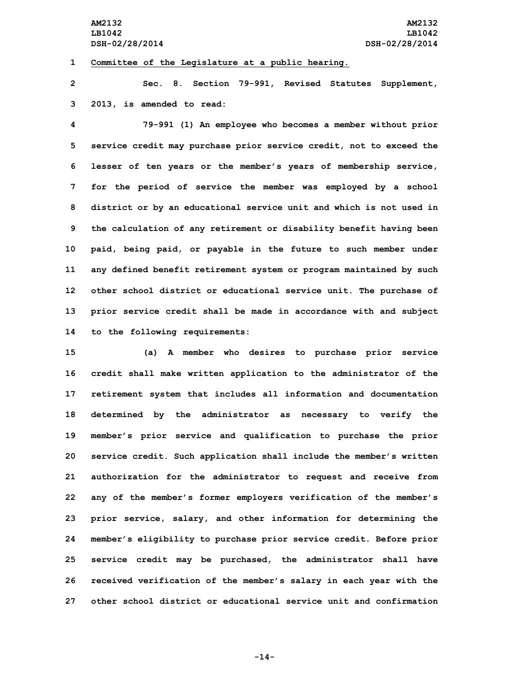## **1 Committee of the Legislature at <sup>a</sup> public hearing.**

**2 Sec. 8. Section 79-991, Revised Statutes Supplement, 3 2013, is amended to read:**

 **79-991 (1) An employee who becomes <sup>a</sup> member without prior service credit may purchase prior service credit, not to exceed the lesser of ten years or the member's years of membership service, for the period of service the member was employed by <sup>a</sup> school district or by an educational service unit and which is not used in the calculation of any retirement or disability benefit having been paid, being paid, or payable in the future to such member under any defined benefit retirement system or program maintained by such other school district or educational service unit. The purchase of prior service credit shall be made in accordance with and subject to the following requirements:**

 **(a) <sup>A</sup> member who desires to purchase prior service credit shall make written application to the administrator of the retirement system that includes all information and documentation determined by the administrator as necessary to verify the member's prior service and qualification to purchase the prior service credit. Such application shall include the member's written authorization for the administrator to request and receive from any of the member's former employers verification of the member's prior service, salary, and other information for determining the member's eligibility to purchase prior service credit. Before prior service credit may be purchased, the administrator shall have received verification of the member's salary in each year with the other school district or educational service unit and confirmation**

**-14-**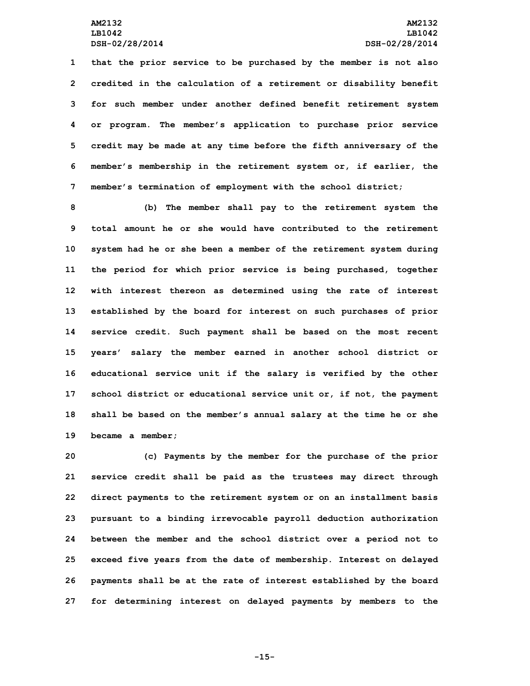**that the prior service to be purchased by the member is not also credited in the calculation of <sup>a</sup> retirement or disability benefit for such member under another defined benefit retirement system or program. The member's application to purchase prior service credit may be made at any time before the fifth anniversary of the member's membership in the retirement system or, if earlier, the member's termination of employment with the school district;**

 **(b) The member shall pay to the retirement system the total amount he or she would have contributed to the retirement system had he or she been <sup>a</sup> member of the retirement system during the period for which prior service is being purchased, together with interest thereon as determined using the rate of interest established by the board for interest on such purchases of prior service credit. Such payment shall be based on the most recent years' salary the member earned in another school district or educational service unit if the salary is verified by the other school district or educational service unit or, if not, the payment shall be based on the member's annual salary at the time he or she became <sup>a</sup> member;**

 **(c) Payments by the member for the purchase of the prior service credit shall be paid as the trustees may direct through direct payments to the retirement system or on an installment basis pursuant to <sup>a</sup> binding irrevocable payroll deduction authorization between the member and the school district over <sup>a</sup> period not to exceed five years from the date of membership. Interest on delayed payments shall be at the rate of interest established by the board for determining interest on delayed payments by members to the**

**-15-**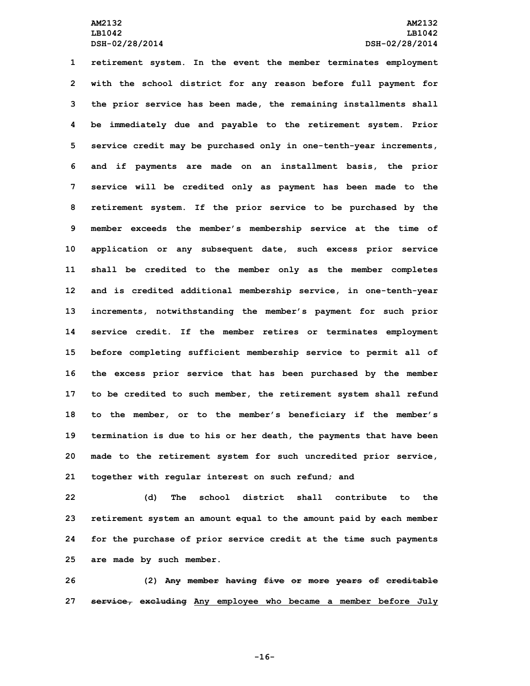**retirement system. In the event the member terminates employment with the school district for any reason before full payment for the prior service has been made, the remaining installments shall be immediately due and payable to the retirement system. Prior service credit may be purchased only in one-tenth-year increments, and if payments are made on an installment basis, the prior service will be credited only as payment has been made to the retirement system. If the prior service to be purchased by the member exceeds the member's membership service at the time of application or any subsequent date, such excess prior service shall be credited to the member only as the member completes and is credited additional membership service, in one-tenth-year increments, notwithstanding the member's payment for such prior service credit. If the member retires or terminates employment before completing sufficient membership service to permit all of the excess prior service that has been purchased by the member to be credited to such member, the retirement system shall refund to the member, or to the member's beneficiary if the member's termination is due to his or her death, the payments that have been made to the retirement system for such uncredited prior service, together with regular interest on such refund; and**

 **(d) The school district shall contribute to the retirement system an amount equal to the amount paid by each member for the purchase of prior service credit at the time such payments are made by such member.**

**26 (2) Any member having five or more years of creditable 27 service, excluding Any employee who became <sup>a</sup> member before July**

**-16-**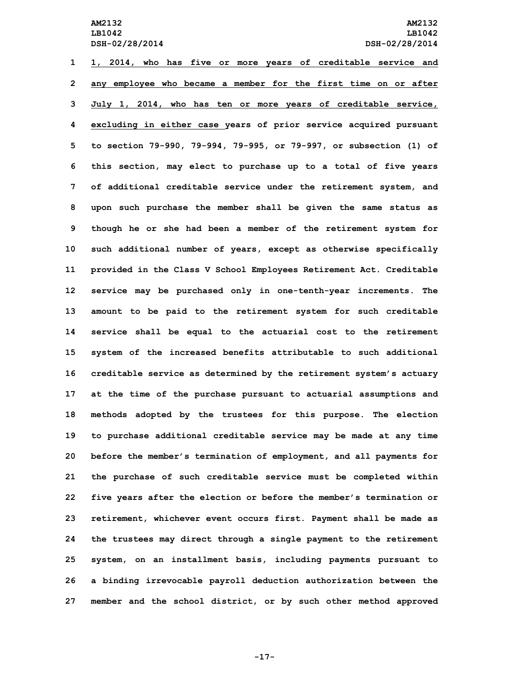**1, 2014, who has five or more years of creditable service and any employee who became <sup>a</sup> member for the first time on or after July 1, 2014, who has ten or more years of creditable service, excluding in either case years of prior service acquired pursuant to section 79-990, 79-994, 79-995, or 79-997, or subsection (1) of this section, may elect to purchase up to <sup>a</sup> total of five years of additional creditable service under the retirement system, and upon such purchase the member shall be given the same status as though he or she had been <sup>a</sup> member of the retirement system for such additional number of years, except as otherwise specifically provided in the Class <sup>V</sup> School Employees Retirement Act. Creditable service may be purchased only in one-tenth-year increments. The amount to be paid to the retirement system for such creditable service shall be equal to the actuarial cost to the retirement system of the increased benefits attributable to such additional creditable service as determined by the retirement system's actuary at the time of the purchase pursuant to actuarial assumptions and methods adopted by the trustees for this purpose. The election to purchase additional creditable service may be made at any time before the member's termination of employment, and all payments for the purchase of such creditable service must be completed within five years after the election or before the member's termination or retirement, whichever event occurs first. Payment shall be made as the trustees may direct through <sup>a</sup> single payment to the retirement system, on an installment basis, including payments pursuant to <sup>a</sup> binding irrevocable payroll deduction authorization between the member and the school district, or by such other method approved**

**-17-**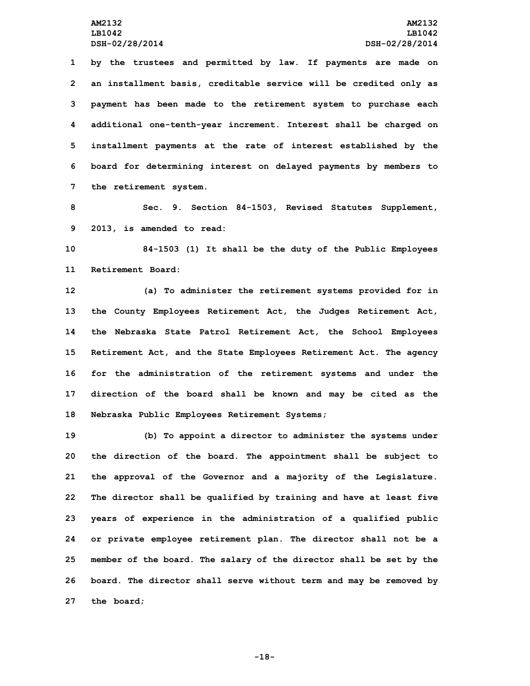**by the trustees and permitted by law. If payments are made on an installment basis, creditable service will be credited only as payment has been made to the retirement system to purchase each additional one-tenth-year increment. Interest shall be charged on installment payments at the rate of interest established by the board for determining interest on delayed payments by members to the retirement system.**

**8 Sec. 9. Section 84-1503, Revised Statutes Supplement, 9 2013, is amended to read:**

**10 84-1503 (1) It shall be the duty of the Public Employees 11 Retirement Board:**

 **(a) To administer the retirement systems provided for in the County Employees Retirement Act, the Judges Retirement Act, the Nebraska State Patrol Retirement Act, the School Employees Retirement Act, and the State Employees Retirement Act. The agency for the administration of the retirement systems and under the direction of the board shall be known and may be cited as the Nebraska Public Employees Retirement Systems;**

 **(b) To appoint <sup>a</sup> director to administer the systems under the direction of the board. The appointment shall be subject to the approval of the Governor and <sup>a</sup> majority of the Legislature. The director shall be qualified by training and have at least five years of experience in the administration of <sup>a</sup> qualified public or private employee retirement plan. The director shall not be <sup>a</sup> member of the board. The salary of the director shall be set by the board. The director shall serve without term and may be removed by the board;**

**-18-**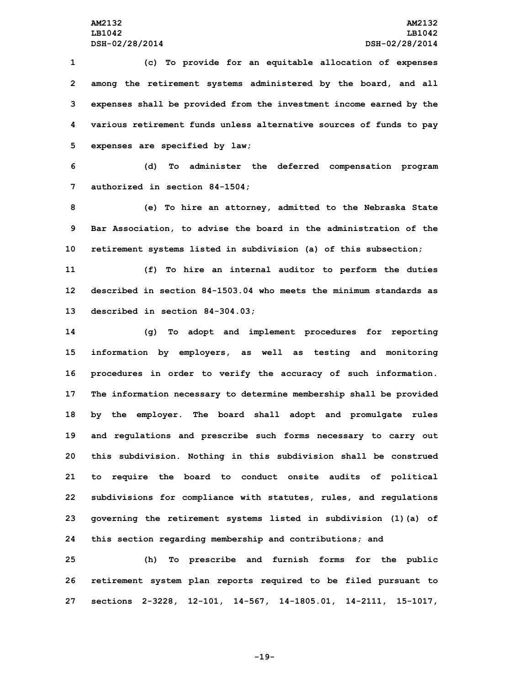**(c) To provide for an equitable allocation of expenses among the retirement systems administered by the board, and all expenses shall be provided from the investment income earned by the various retirement funds unless alternative sources of funds to pay expenses are specified by law;**

**6 (d) To administer the deferred compensation program 7 authorized in section 84-1504;**

**8 (e) To hire an attorney, admitted to the Nebraska State 9 Bar Association, to advise the board in the administration of the 10 retirement systems listed in subdivision (a) of this subsection;**

**11 (f) To hire an internal auditor to perform the duties 12 described in section 84-1503.04 who meets the minimum standards as 13 described in section 84-304.03;**

 **(g) To adopt and implement procedures for reporting information by employers, as well as testing and monitoring procedures in order to verify the accuracy of such information. The information necessary to determine membership shall be provided by the employer. The board shall adopt and promulgate rules and regulations and prescribe such forms necessary to carry out this subdivision. Nothing in this subdivision shall be construed to require the board to conduct onsite audits of political subdivisions for compliance with statutes, rules, and regulations governing the retirement systems listed in subdivision (1)(a) of this section regarding membership and contributions; and**

**25 (h) To prescribe and furnish forms for the public 26 retirement system plan reports required to be filed pursuant to 27 sections 2-3228, 12-101, 14-567, 14-1805.01, 14-2111, 15-1017,**

**-19-**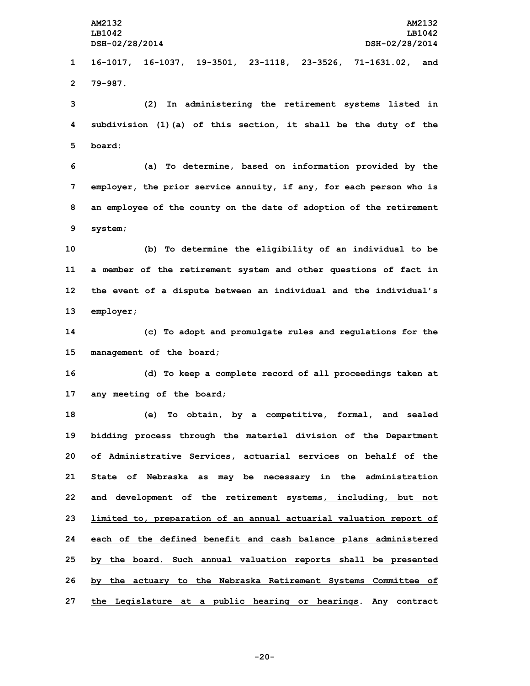**AM2132 AM2132 LB1042 LB1042 DSH-02/28/2014 DSH-02/28/2014 16-1017, 16-1037, 19-3501, 23-1118, 23-3526, 71-1631.02, and 2 79-987. (2) In administering the retirement systems listed in subdivision (1)(a) of this section, it shall be the duty of the 5 board: (a) To determine, based on information provided by the employer, the prior service annuity, if any, for each person who is an employee of the county on the date of adoption of the retirement 9 system; (b) To determine the eligibility of an individual to be <sup>a</sup> member of the retirement system and other questions of fact in the event of <sup>a</sup> dispute between an individual and the individual's employer; (c) To adopt and promulgate rules and regulations for the management of the board; (d) To keep <sup>a</sup> complete record of all proceedings taken at any meeting of the board; (e) To obtain, by <sup>a</sup> competitive, formal, and sealed bidding process through the materiel division of the Department of Administrative Services, actuarial services on behalf of the State of Nebraska as may be necessary in the administration and development of the retirement systems, including, but not limited to, preparation of an annual actuarial valuation report of each of the defined benefit and cash balance plans administered by the board. Such annual valuation reports shall be presented by the actuary to the Nebraska Retirement Systems Committee of the Legislature at <sup>a</sup> public hearing or hearings. Any contract**

**-20-**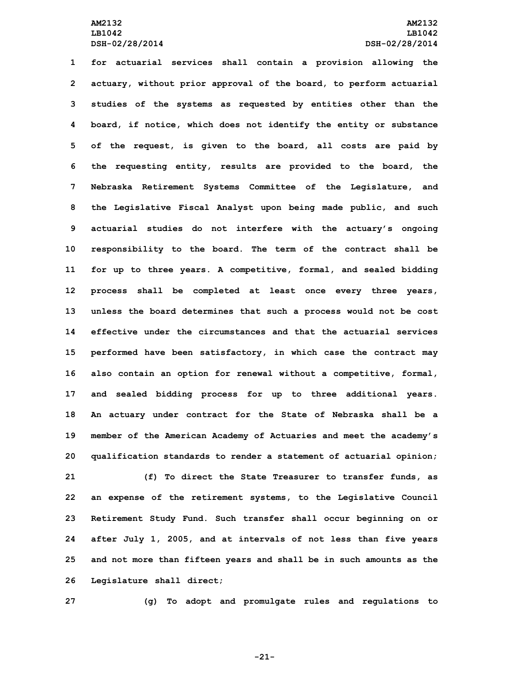**for actuarial services shall contain <sup>a</sup> provision allowing the actuary, without prior approval of the board, to perform actuarial studies of the systems as requested by entities other than the board, if notice, which does not identify the entity or substance of the request, is given to the board, all costs are paid by the requesting entity, results are provided to the board, the Nebraska Retirement Systems Committee of the Legislature, and the Legislative Fiscal Analyst upon being made public, and such actuarial studies do not interfere with the actuary's ongoing responsibility to the board. The term of the contract shall be for up to three years. <sup>A</sup> competitive, formal, and sealed bidding process shall be completed at least once every three years, unless the board determines that such <sup>a</sup> process would not be cost effective under the circumstances and that the actuarial services performed have been satisfactory, in which case the contract may also contain an option for renewal without <sup>a</sup> competitive, formal, and sealed bidding process for up to three additional years. An actuary under contract for the State of Nebraska shall be <sup>a</sup> member of the American Academy of Actuaries and meet the academy's qualification standards to render <sup>a</sup> statement of actuarial opinion; (f) To direct the State Treasurer to transfer funds, as an expense of the retirement systems, to the Legislative Council Retirement Study Fund. Such transfer shall occur beginning on or after July 1, 2005, and at intervals of not less than five years and not more than fifteen years and shall be in such amounts as the**

**26 Legislature shall direct;**

**27 (g) To adopt and promulgate rules and regulations to**

**-21-**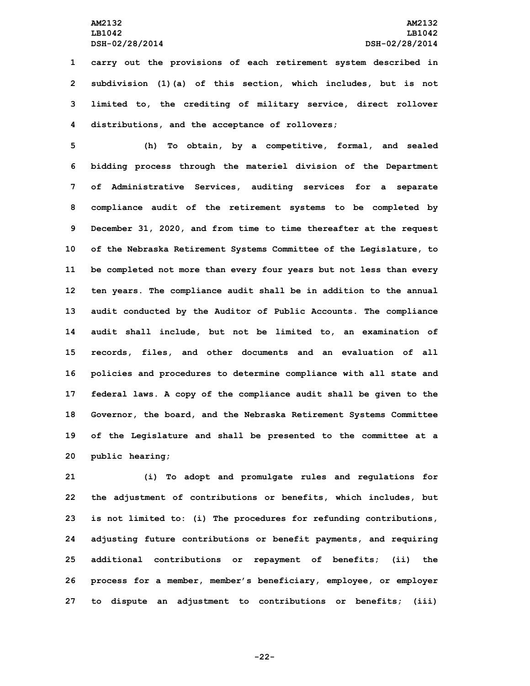**carry out the provisions of each retirement system described in subdivision (1)(a) of this section, which includes, but is not limited to, the crediting of military service, direct rollover distributions, and the acceptance of rollovers;**

 **(h) To obtain, by <sup>a</sup> competitive, formal, and sealed bidding process through the materiel division of the Department of Administrative Services, auditing services for <sup>a</sup> separate compliance audit of the retirement systems to be completed by December 31, 2020, and from time to time thereafter at the request of the Nebraska Retirement Systems Committee of the Legislature, to be completed not more than every four years but not less than every ten years. The compliance audit shall be in addition to the annual audit conducted by the Auditor of Public Accounts. The compliance audit shall include, but not be limited to, an examination of records, files, and other documents and an evaluation of all policies and procedures to determine compliance with all state and federal laws. <sup>A</sup> copy of the compliance audit shall be given to the Governor, the board, and the Nebraska Retirement Systems Committee of the Legislature and shall be presented to the committee at <sup>a</sup> public hearing;**

 **(i) To adopt and promulgate rules and regulations for the adjustment of contributions or benefits, which includes, but is not limited to: (i) The procedures for refunding contributions, adjusting future contributions or benefit payments, and requiring additional contributions or repayment of benefits; (ii) the process for <sup>a</sup> member, member's beneficiary, employee, or employer to dispute an adjustment to contributions or benefits; (iii)**

**-22-**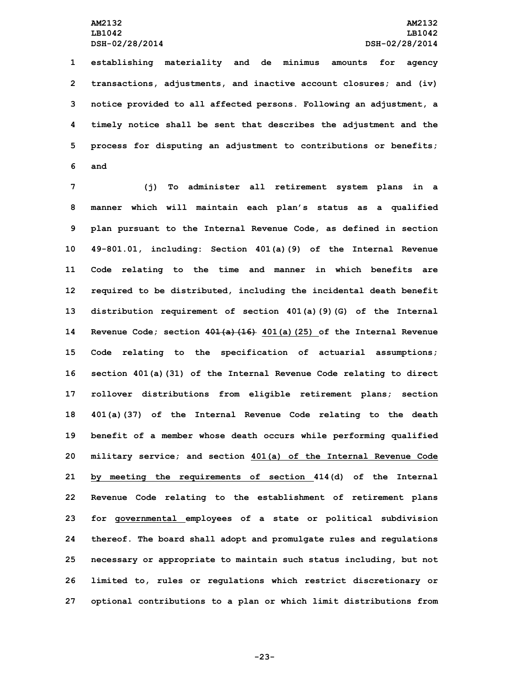**establishing materiality and de minimus amounts for agency transactions, adjustments, and inactive account closures; and (iv) notice provided to all affected persons. Following an adjustment, <sup>a</sup> timely notice shall be sent that describes the adjustment and the process for disputing an adjustment to contributions or benefits; 6 and**

 **(j) To administer all retirement system plans in <sup>a</sup> manner which will maintain each plan's status as <sup>a</sup> qualified plan pursuant to the Internal Revenue Code, as defined in section 49-801.01, including: Section 401(a)(9) of the Internal Revenue Code relating to the time and manner in which benefits are required to be distributed, including the incidental death benefit distribution requirement of section 401(a)(9)(G) of the Internal Revenue Code; section 401(a)(16) 401(a)(25) of the Internal Revenue Code relating to the specification of actuarial assumptions; section 401(a)(31) of the Internal Revenue Code relating to direct rollover distributions from eligible retirement plans; section 401(a)(37) of the Internal Revenue Code relating to the death benefit of <sup>a</sup> member whose death occurs while performing qualified military service; and section 401(a) of the Internal Revenue Code by meeting the requirements of section 414(d) of the Internal Revenue Code relating to the establishment of retirement plans for governmental employees of <sup>a</sup> state or political subdivision thereof. The board shall adopt and promulgate rules and regulations necessary or appropriate to maintain such status including, but not limited to, rules or regulations which restrict discretionary or optional contributions to <sup>a</sup> plan or which limit distributions from**

**-23-**